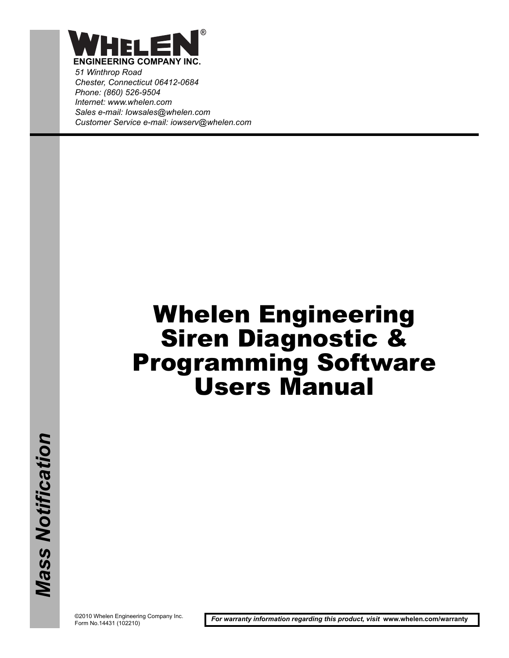

*51 Winthrop Road Chester, Connecticut 06412-0684 Phone: (860) 526-9504 Internet: www.whelen.com Sales e-mail: Iowsales@whelen.com Customer Service e-mail: iowserv@whelen.com*

# Whelen Engineering Siren Diagnostic & Programming Software Users Manual

©2010 Whelen Engineering Company Inc. Form No.14431 (102210)

*For warranty information regarding this product, visit* **www.whelen.com/warranty**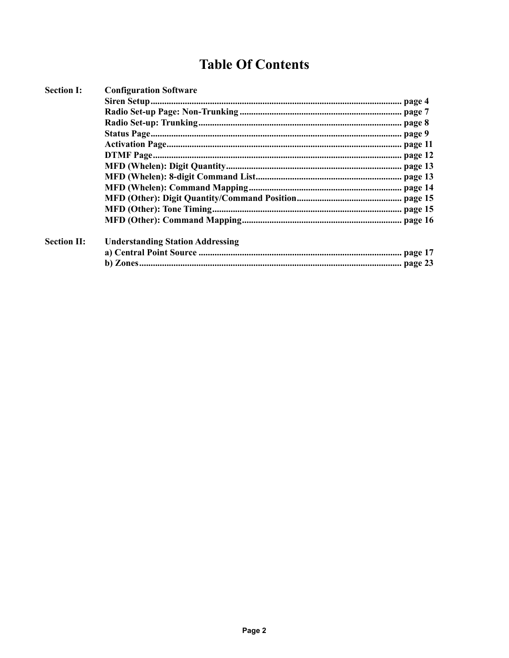### **Table Of Contents**

| <b>Section I:</b>  | <b>Configuration Software</b>           |  |
|--------------------|-----------------------------------------|--|
|                    |                                         |  |
|                    |                                         |  |
|                    |                                         |  |
|                    |                                         |  |
|                    |                                         |  |
|                    |                                         |  |
|                    |                                         |  |
|                    |                                         |  |
|                    |                                         |  |
|                    |                                         |  |
|                    |                                         |  |
|                    |                                         |  |
| <b>Section II:</b> | <b>Understanding Station Addressing</b> |  |
|                    |                                         |  |
|                    |                                         |  |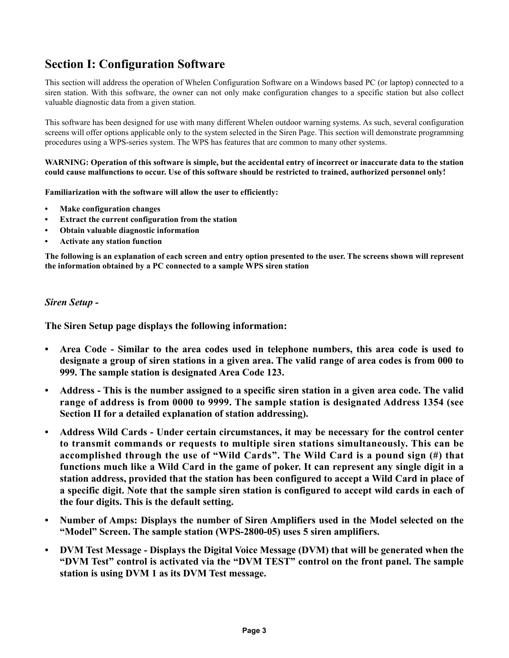### **Section I: Configuration Software**

This section will address the operation of Whelen Configuration Software on a Windows based PC (or laptop) connected to a siren station. With this software, the owner can not only make configuration changes to a specific station but also collect valuable diagnostic data from a given station.

This software has been designed for use with many different Whelen outdoor warning systems. As such, several configuration screens will offer options applicable only to the system selected in the Siren Page. This section will demonstrate programming procedures using a WPS-series system. The WPS has features that are common to many other systems.

**WARNING: Operation of this software is simple, but the accidental entry of incorrect or inaccurate data to the station could cause malfunctions to occur. Use of this software should be restricted to trained, authorized personnel only!**

**Familiarization with the software will allow the user to efficiently:**

- **Make configuration changes**
- **Extract the current configuration from the station**
- **Obtain valuable diagnostic information**
- **Activate any station function**

**The following is an explanation of each screen and entry option presented to the user. The screens shown will represent the information obtained by a PC connected to a sample WPS siren station**

#### *Siren Setup -*

**The Siren Setup page displays the following information:**

- **Area Code Similar to the area codes used in telephone numbers, this area code is used to designate a group of siren stations in a given area. The valid range of area codes is from 000 to 999. The sample station is designated Area Code 123.**
- **Address This is the number assigned to a specific siren station in a given area code. The valid range of address is from 0000 to 9999. The sample station is designated Address 1354 (see Section II for a detailed explanation of station addressing).**
- **Address Wild Cards Under certain circumstances, it may be necessary for the control center to transmit commands or requests to multiple siren stations simultaneously. This can be accomplished through the use of "Wild Cards". The Wild Card is a pound sign (#) that functions much like a Wild Card in the game of poker. It can represent any single digit in a station address, provided that the station has been configured to accept a Wild Card in place of a specific digit. Note that the sample siren station is configured to accept wild cards in each of the four digits. This is the default setting.**
- **Number of Amps: Displays the number of Siren Amplifiers used in the Model selected on the "Model" Screen. The sample station (WPS-2800-05) uses 5 siren amplifiers.**
- **DVM Test Message Displays the Digital Voice Message (DVM) that will be generated when the "DVM Test" control is activated via the "DVM TEST" control on the front panel. The sample station is using DVM 1 as its DVM Test message.**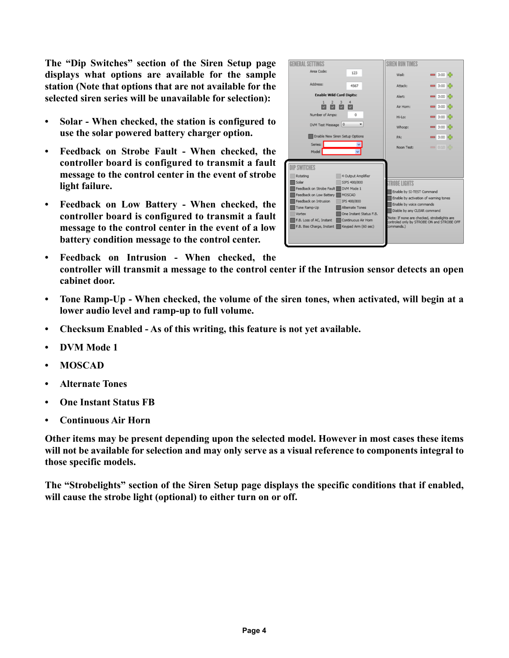**The "Dip Switches" section of the Siren Setup page displays what options are available for the sample station (Note that options that are not available for the selected siren series will be unavailable for selection):**

- **Solar When checked, the station is configured to use the solar powered battery charger option.**
- **Feedback on Strobe Fault When checked, the controller board is configured to transmit a fault message to the control center in the event of strobe light failure.**
- **Feedback on Low Battery When checked, the controller board is configured to transmit a fault message to the control center in the event of a low battery condition message to the control center.**

| <b>GENERAL SETTINGS</b>                                                                                                                                                                                                                                                                                                                                                             | <b>SIREN RUN TIMES</b>                                                                                                                                                                                                                                         |
|-------------------------------------------------------------------------------------------------------------------------------------------------------------------------------------------------------------------------------------------------------------------------------------------------------------------------------------------------------------------------------------|----------------------------------------------------------------------------------------------------------------------------------------------------------------------------------------------------------------------------------------------------------------|
| Area Code:<br>123                                                                                                                                                                                                                                                                                                                                                                   | $-3:00$ $<$<br>Wall:                                                                                                                                                                                                                                           |
| Address:<br>4567                                                                                                                                                                                                                                                                                                                                                                    | Attack:<br>$-3:00$ $\leq$                                                                                                                                                                                                                                      |
| <b>Enable Wild Card Digits:</b>                                                                                                                                                                                                                                                                                                                                                     | Alert:<br>$= 3:00$                                                                                                                                                                                                                                             |
| 1<br>2<br>з<br>M                                                                                                                                                                                                                                                                                                                                                                    | $= 3:00$ $\leq$<br>Air Horn:                                                                                                                                                                                                                                   |
| Number of Amps:<br>O                                                                                                                                                                                                                                                                                                                                                                | $-$ 3:00 $-$<br>Hi-Lo:                                                                                                                                                                                                                                         |
| DVM Test Message 0                                                                                                                                                                                                                                                                                                                                                                  | $= 3:00$<br>Whoop:                                                                                                                                                                                                                                             |
| Enable New Siren Setup Options                                                                                                                                                                                                                                                                                                                                                      | PA:<br>$-$ 3:00 $\leq$                                                                                                                                                                                                                                         |
| Series:<br>Model                                                                                                                                                                                                                                                                                                                                                                    | $= 0:10$<br>Noon Test:                                                                                                                                                                                                                                         |
| <b>IP SWITCHES</b><br>4 Output Amplifier<br>Rotating<br>Solar<br>SIPS 400/800<br>Feedback on Strobe Fault<br>DVM Mode 1<br>Feedback on Low Battery<br>MOSCAD<br>Feedback on Intrusion<br>IPS 400/800<br>Tone Ramp-Up<br>Alternate Tones<br>One Instant Status F.B.<br>Vortex<br>F.B. Loss of AC. Instant<br>Continuous Air Horn<br>F.B. Bias Charge, Instant<br>Keypad Arm (60 sec) | <b>ROBE LIGHTS</b><br>Enable by SI-TEST Command<br>Enable by activation of warning tones<br>Enable by voice commands<br>Diable by any CLEAR command<br>Note: If none are checked, strobelights are<br>controled only by STROBE ON and STROBE OFF<br>commands.) |

- **Feedback on Intrusion When checked, the controller will transmit a message to the control center if the Intrusion sensor detects an open cabinet door.**
- **Tone Ramp-Up When checked, the volume of the siren tones, when activated, will begin at a lower audio level and ramp-up to full volume.**
- **Checksum Enabled As of this writing, this feature is not yet available.**
- **DVM Mode 1**
- **MOSCAD**
- **Alternate Tones**
- **One Instant Status FB**
- **Continuous Air Horn**

**Other items may be present depending upon the selected model. However in most cases these items will not be available for selection and may only serve as a visual reference to components integral to those specific models.**

**The "Strobelights" section of the Siren Setup page displays the specific conditions that if enabled, will cause the strobe light (optional) to either turn on or off.**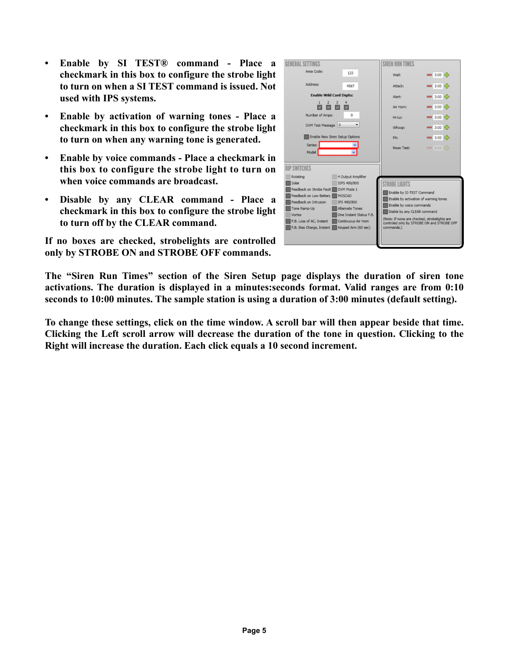- **Enable by SI TEST® command Place a checkmark in this box to configure the strobe light to turn on when a SI TEST command is issued. Not used with IPS systems.**
- **Enable by activation of warning tones Place a checkmark in this box to configure the strobe light to turn on when any warning tone is generated.**
- **Enable by voice commands Place a checkmark in this box to configure the strobe light to turn on when voice commands are broadcast.**
- **Disable by any CLEAR command Place a checkmark in this box to configure the strobe light to turn off by the CLEAR command.**

**If no boxes are checked, strobelights are controlled only by STROBE ON and STROBE OFF commands.**



**The "Siren Run Times" section of the Siren Setup page displays the duration of siren tone activations. The duration is displayed in a minutes:seconds format. Valid ranges are from 0:10 seconds to 10:00 minutes. The sample station is using a duration of 3:00 minutes (default setting).** 

**To change these settings, click on the time window. A scroll bar will then appear beside that time. Clicking the Left scroll arrow will decrease the duration of the tone in question. Clicking to the Right will increase the duration. Each click equals a 10 second increment.**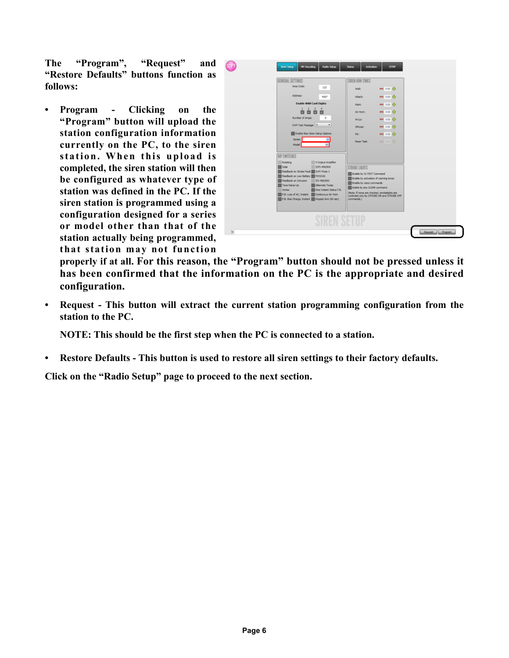**The "Program", "Request" and "Restore Defaults" buttons function as follows:**

**• Program - Clicking on the "Program" button will upload the station configuration information currently on the PC, to the siren station. When this upload is completed, the siren station will then be configured as whatever type of station was defined in the PC. If the siren station is programmed using a configuration designed for a series or model other than that of the station actually being programmed, that station may not function**

| GENERAL SETTINGS                                                                               | SIREN RUN TIMES                                                   |                                            |  |
|------------------------------------------------------------------------------------------------|-------------------------------------------------------------------|--------------------------------------------|--|
| Area Code:<br>123                                                                              | Wall:                                                             | <b>am</b> 3:00 KG                          |  |
| Address:<br>4567                                                                               | Attack:                                                           | $= 3:00$ $R_{\rm P}$                       |  |
| <b>Enable Wild Card Digits:</b>                                                                | Allert:                                                           | $= 3.00$ Rb                                |  |
| 1 <sup>2</sup><br>$\overline{\phantom{a}}$<br>$\overline{4}$<br>囨<br>図<br>ø<br>囩               | Air Hom:                                                          | $- 3:00$ ich                               |  |
| Number of Amps:<br>$\circ$                                                                     | Hi-Loc                                                            | $- 3:00$ KP                                |  |
| DVM Test Message 0<br>۰                                                                        | Whoop:                                                            | <b>MM</b> 3:00 RD                          |  |
| Enable New Siren Setup Options                                                                 | PA:                                                               | <b>MM</b> 3:00 <b>K</b>                    |  |
| Series:<br>Model                                                                               | Noon Test:                                                        | $= 0.10$ K.                                |  |
|                                                                                                |                                                                   |                                            |  |
| DIP SWITCHES                                                                                   |                                                                   |                                            |  |
| 4 Output Amplifier<br>Rotating<br>Solar<br>53PS 400/800                                        | <b>STROBE LIGHTS</b>                                              |                                            |  |
| Feedback on Strobe Fault III DVM Mode 1<br>Feedback on Low Battery   MOSCAD                    | Enable by SI-TEST Command                                         |                                            |  |
| Feedback on Intrusion<br>IPS 400/800                                                           | Enable by activation of warning tones<br>Enable by voice commands |                                            |  |
| Tone Ramp-Up<br>Alternate Tones<br>One Instant Status F.B.<br><b>Vortex</b>                    | Diable by any CLEAR command                                       |                                            |  |
| F.B. Loss of AC, Instant Continuous Air Hom<br>F.B. Bias Charge, Instant   Keypad Arm (60 sec) | (Note: If none are checked, strobelights are<br>commands.)        | controled only by STROBE ON and STROBE OFF |  |
|                                                                                                |                                                                   |                                            |  |
|                                                                                                |                                                                   |                                            |  |
|                                                                                                |                                                                   |                                            |  |

**properly if at all. For this reason, the "Program" button should not be pressed unless it has been confirmed that the information on the PC is the appropriate and desired configuration.**

**• Request - This button will extract the current station programming configuration from the station to the PC.** 

**NOTE: This should be the first step when the PC is connected to a station.**

**• Restore Defaults - This button is used to restore all siren settings to their factory defaults.**

**Click on the "Radio Setup" page to proceed to the next section.**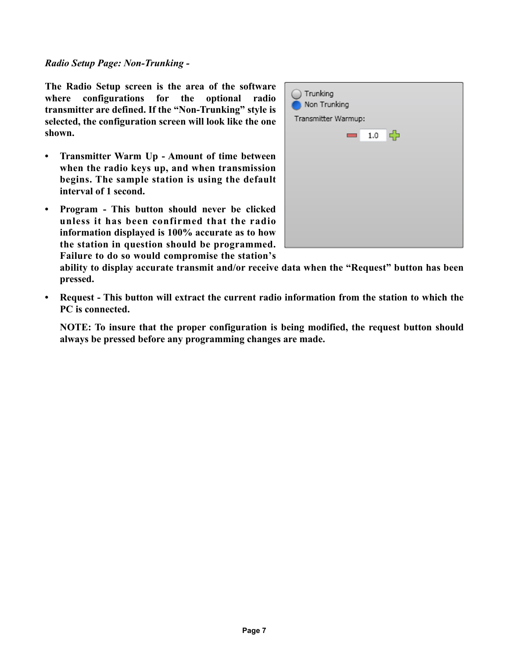#### *Radio Setup Page: Non-Trunking -*

**The Radio Setup screen is the area of the software where configurations for the optional radio transmitter are defined. If the "Non-Trunking" style is selected, the configuration screen will look like the one shown.**

- **Transmitter Warm Up Amount of time between when the radio keys up, and when transmission begins. The sample station is using the default interval of 1 second.**
- **Program This button should never be clicked unless it has been confirmed that the radio information displayed is 100% accurate as to how the station in question should be programmed. Failure to do so would compromise the station's**



**ability to display accurate transmit and/or receive data when the "Request" button has been pressed.**

**• Request - This button will extract the current radio information from the station to which the PC is connected.**

**NOTE: To insure that the proper configuration is being modified, the request button should always be pressed before any programming changes are made.**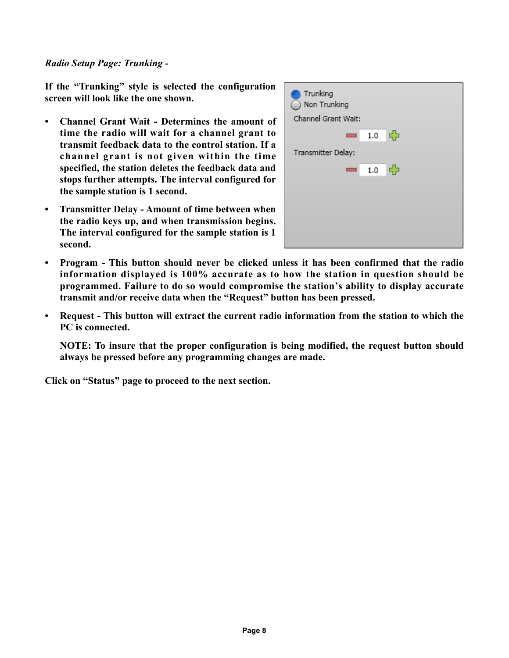#### *Radio Setup Page: Trunking -*

**If the "Trunking" style is selected the configuration screen will look like the one shown.**

- **Channel Grant Wait Determines the amount of time the radio will wait for a channel grant to transmit feedback data to the control station. If a channel grant is not given within the time specified, the station deletes the feedback data and stops further attempts. The interval configured for the sample station is 1 second.**
- **Transmitter Delay Amount of time between when the radio keys up, and when transmission begins. The interval configured for the sample station is 1 second.**



- **Program This button should never be clicked unless it has been confirmed that the radio information displayed is 100% accurate as to how the station in question should be programmed. Failure to do so would compromise the station's ability to display accurate transmit and/or receive data when the "Request" button has been pressed.**
- **Request This button will extract the current radio information from the station to which the PC is connected.**

**NOTE: To insure that the proper configuration is being modified, the request button should always be pressed before any programming changes are made.**

**Click on "Status" page to proceed to the next section.**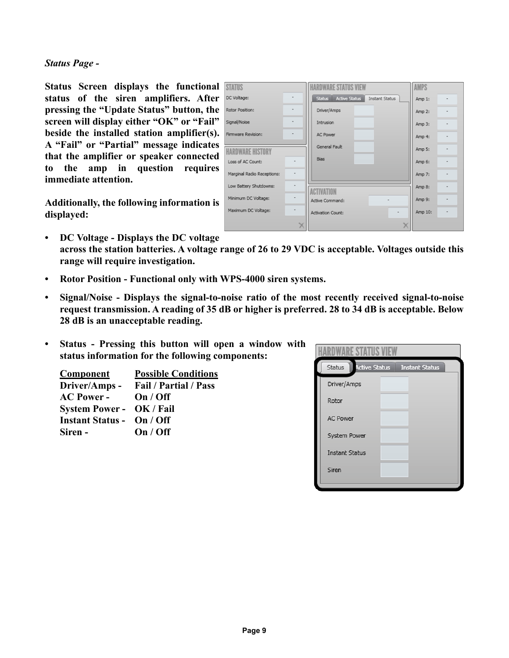#### *Status Page -*

**Status Screen displays the functional status of the siren amplifiers. After pressing the "Update Status" button, the screen will display either "OK" or "Fail" beside the installed station amplifier(s). A "Fail" or "Partial" message indicates that the amplifier or speaker connected to the amp in question requires immediate attention.**

**Additionally, the following information is displayed:**

| <b>SIAIUS</b>                 |                          |                                               | AMPS         |
|-------------------------------|--------------------------|-----------------------------------------------|--------------|
| DC Voltage:                   | $\overline{\phantom{0}}$ | Status Active Status<br><b>Instant Status</b> | Amp 1:<br>٠  |
| Rotor Position:               | $\overline{\phantom{0}}$ | Driver/Amps                                   | Amp 2:<br>۰  |
| Signal/Noise                  | $\overline{\phantom{0}}$ | Intrusion                                     | Amp 3:<br>٠  |
| Firmware Revision:            | $\overline{\phantom{0}}$ | <b>AC Power</b>                               | Amp 4:<br>٠  |
| <b><i>IRDWARF HISTORY</i></b> |                          | General Fault                                 | Amp 5:<br>۰  |
| Loss of AC Count:             |                          | <b>Bias</b>                                   | Amp 6:<br>٠  |
| Marginal Radio Receptions:    | $\overline{\phantom{0}}$ |                                               | Amp 7:<br>٠  |
| Low Battery Shutdowns:        |                          | <b>PTIVATIO</b>                               | Amp 8:<br>٠  |
| Minimum DC Voltage:           | ۰                        | Active Command:<br>$\overline{\phantom{a}}$   | Amp 9:<br>٠  |
| Maximum DC Voltage:           |                          | <b>Activation Count:</b><br>٠                 | Amp 10:<br>۰ |
|                               |                          |                                               |              |

n Gas

- **DC Voltage Displays the DC voltage across the station batteries. A voltage range of 26 to 29 VDC is acceptable. Voltages outside this range will require investigation.**
- **Rotor Position Functional only with WPS-4000 siren systems.**
- **Signal/Noise Displays the signal-to-noise ratio of the most recently received signal-to-noise request transmission. A reading of 35 dB or higher is preferred. 28 to 34 dB is acceptable. Below 28 dB is an unacceptable reading.**
- **Status Pressing this button will open a window with status information for the following components:**

| <b>Possible Conditions</b>       |
|----------------------------------|
| <b>Fail / Partial / Pass</b>     |
| On / Off                         |
| <b>System Power - OK/Fail</b>    |
| <b>Instant Status - On / Off</b> |
| On / Off                         |
|                                  |

| <b>Active Status</b><br>Status<br><b>Instant Status</b> |  |  |  |
|---------------------------------------------------------|--|--|--|
| Driver/Amps                                             |  |  |  |
| Rotor                                                   |  |  |  |
| <b>AC Power</b>                                         |  |  |  |
| System Power                                            |  |  |  |
| <b>Instant Status</b>                                   |  |  |  |
| Siren                                                   |  |  |  |
|                                                         |  |  |  |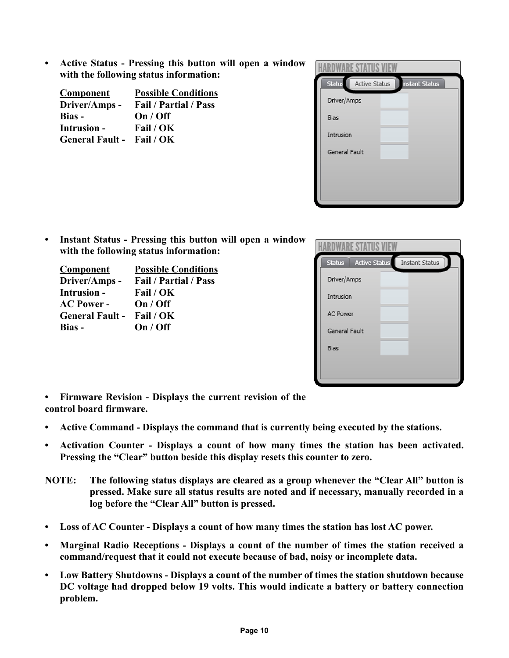**• Active Status - Pressing this button will open a window with the following status information:**

| <b>Component</b>                 | <b>Possible Conditions</b>   |  |  |
|----------------------------------|------------------------------|--|--|
| Driver/Amps -                    | <b>Fail / Partial / Pass</b> |  |  |
| Bias -                           | On / Off                     |  |  |
| <b>Intrusion -</b>               | Fail / OK                    |  |  |
| <b>General Fault - Fail / OK</b> |                              |  |  |

| Status<br>Active Status<br><b>Instant Status</b> |  |  |
|--------------------------------------------------|--|--|
| Driver/Amps                                      |  |  |
| <b>Bias</b>                                      |  |  |
| Intrusion                                        |  |  |
| General Fault                                    |  |  |
|                                                  |  |  |
|                                                  |  |  |
|                                                  |  |  |

**• Instant Status - Pressing this button will open a window with the following status information:**

| <b>Component</b>                 | <b>Possible Conditions</b>   |
|----------------------------------|------------------------------|
| Driver/Amps -                    | Fail / Partial / Pass        |
| <b>Intrusion -</b>               | Fail / OK                    |
| <b>AC Power -</b>                | On / Off                     |
| <b>General Fault - Fail / OK</b> |                              |
| Bias -                           | $\mathbf{On} / \mathbf{Off}$ |

| <b>Active Status</b><br><b>Status</b> | Instant Status |
|---------------------------------------|----------------|
| Driver/Amps                           |                |
| Intrusion                             |                |
| <b>AC Power</b>                       |                |
| General Fault                         |                |
| <b>Bias</b>                           |                |
|                                       |                |

- **Firmware Revision Displays the current revision of the control board firmware.**
- **Active Command Displays the command that is currently being executed by the stations.**
- **Activation Counter Displays a count of how many times the station has been activated. Pressing the "Clear" button beside this display resets this counter to zero.**
- **NOTE: The following status displays are cleared as a group whenever the "Clear All" button is pressed. Make sure all status results are noted and if necessary, manually recorded in a log before the "Clear All" button is pressed.**
- **Loss of AC Counter Displays a count of how many times the station has lost AC power.**
- **Marginal Radio Receptions Displays a count of the number of times the station received a command/request that it could not execute because of bad, noisy or incomplete data.**
- **Low Battery Shutdowns Displays a count of the number of times the station shutdown because DC voltage had dropped below 19 volts. This would indicate a battery or battery connection problem.**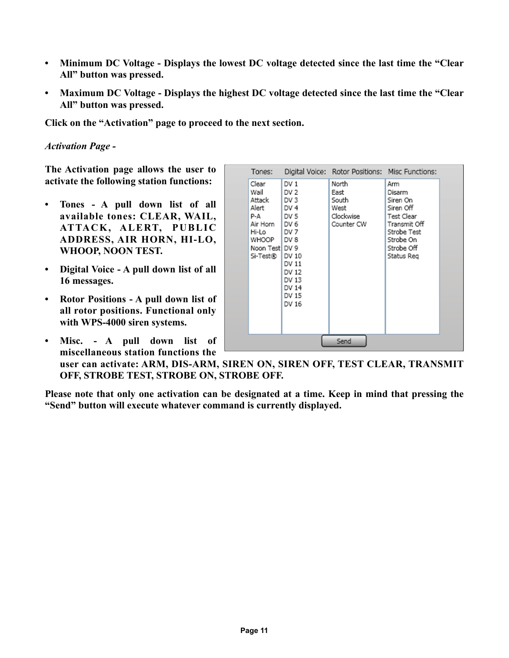- **Minimum DC Voltage Displays the lowest DC voltage detected since the last time the "Clear All" button was pressed.**
- **Maximum DC Voltage Displays the highest DC voltage detected since the last time the "Clear All" button was pressed.**

**Click on the "Activation" page to proceed to the next section.**

*Activation Page -*

**The Activation page allows the user to activate the following station functions:**

- **Tones A pull down list of all available tones: CLEAR, WAIL, ATTACK, ALERT, PUBLIC ADDRESS, AIR HORN, HI-LO, WHOOP, NOON TEST.**
- **Digital Voice A pull down list of all 16 messages.**
- **Rotor Positions A pull down list of all rotor positions. Functional only with WPS-4000 siren systems.**
- **Misc. A pull down list of miscellaneous station functions the**

| Tones:                                                                                                   |                                                                                                                                                         | Digital Voice: Rotor Positions: Misc Functions:           |                                                                                                                              |  |
|----------------------------------------------------------------------------------------------------------|---------------------------------------------------------------------------------------------------------------------------------------------------------|-----------------------------------------------------------|------------------------------------------------------------------------------------------------------------------------------|--|
| Clear<br>Wail<br>Attack<br>Alert<br>P-A<br>Air Horn<br>Hi-Lo<br>WHOOP DV 8<br>Noon Test DV 9<br>Si-Test® | DV1<br>DV <sub>2</sub><br>DV <sub>3</sub><br>DV <sub>4</sub><br>DV 5<br>I DV 6<br>I DV 7<br>DV 10<br>DV 11<br>DV 12<br>DV 13<br>DV 14<br>DV 15<br>DV 16 | North<br>East<br>South<br>West<br>Clockwise<br>Counter CW | Arm<br>Disarm<br>Siren On<br>Siren Off<br>Test Clear<br>Transmit Off<br>Strobe Test<br>Strobe On<br>Strobe Off<br>Status Reg |  |
| Send                                                                                                     |                                                                                                                                                         |                                                           |                                                                                                                              |  |

**user can activate: ARM, DIS-ARM, SIREN ON, SIREN OFF, TEST CLEAR, TRANSMIT OFF, STROBE TEST, STROBE ON, STROBE OFF.**

**Please note that only one activation can be designated at a time. Keep in mind that pressing the "Send" button will execute whatever command is currently displayed.**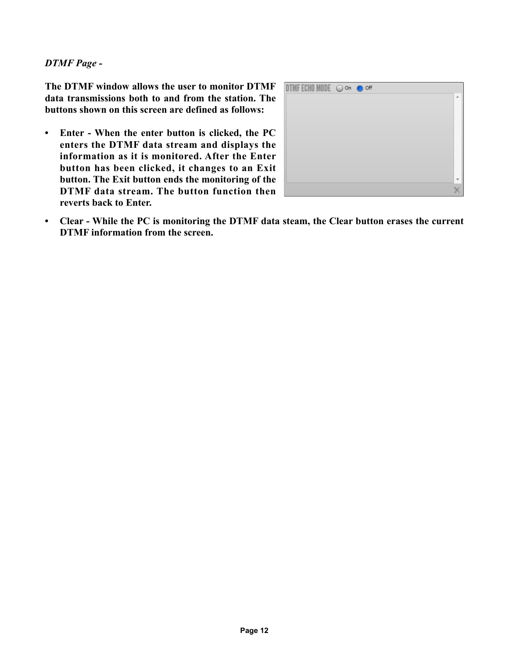#### *DTMF Page -*

**The DTMF window allows the user to monitor DTMF data transmissions both to and from the station. The buttons shown on this screen are defined as follows:**

**• Enter - When the enter button is clicked, the PC enters the DTMF data stream and displays the information as it is monitored. After the Enter button has been clicked, it changes to an Exit button. The Exit button ends the monitoring of the DTMF data stream. The button function then reverts back to Enter.**

| TMF ECHO MODE $\bigcirc$ on $\bigcirc$ off |  |   |
|--------------------------------------------|--|---|
|                                            |  | ٠ |
|                                            |  |   |
|                                            |  |   |
|                                            |  |   |
|                                            |  |   |
|                                            |  |   |
|                                            |  |   |
|                                            |  |   |
|                                            |  |   |
|                                            |  |   |
|                                            |  |   |
|                                            |  |   |
|                                            |  |   |

**• Clear - While the PC is monitoring the DTMF data steam, the Clear button erases the current DTMF information from the screen.**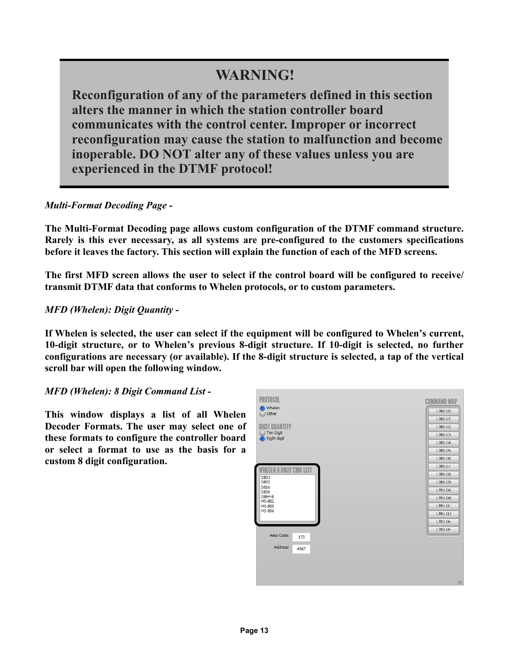### **WARNING!**

**Reconfiguration of any of the parameters defined in this section alters the manner in which the station controller board communicates with the control center. Improper or incorrect reconfiguration may cause the station to malfunction and become inoperable. DO NOT alter any of these values unless you are experienced in the DTMF protocol!**

#### *Multi-Format Decoding Page -*

**The Multi-Format Decoding page allows custom configuration of the DTMF command structure. Rarely is this ever necessary, as all systems are pre-configured to the customers specifications before it leaves the factory. This section will explain the function of each of the MFD screens.**

**The first MFD screen allows the user to select if the control board will be configured to receive/ transmit DTMF data that conforms to Whelen protocols, or to custom parameters.**

#### *MFD (Whelen): Digit Quantity -*

**If Whelen is selected, the user can select if the equipment will be configured to Whelen's current, 10-digit structure, or to Whelen's previous 8-digit structure. If 10-digit is selected, no further configurations are necessary (or available). If the 8-digit structure is selected, a tap of the vertical scroll bar will open the following window.**

#### *MFD (Whelen): 8 Digit Command List -*

**This window displays a list of all Whelen Decoder Formats. The user may select one of these formats to configure the controller board or select a format to use as the basis for a custom 8 digit configuration.**

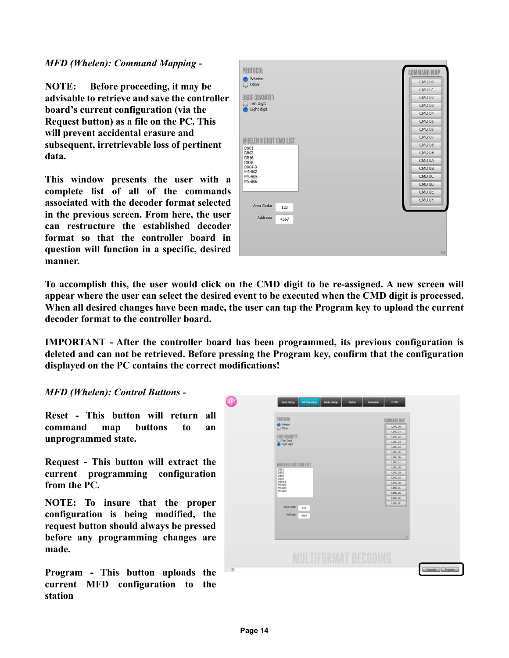#### *MFD (Whelen): Command Mapping -*

**NOTE: Before proceeding, it may be advisable to retrieve and save the controller board's current configuration (via the Request button) as a file on the PC. This will prevent accidental erasure and subsequent, irretrievable loss of pertinent data.**

**This window presents the user with a complete list of all of the commands associated with the decoder format selected in the previous screen. From here, the user can restructure the established decoder format so that the controller board in question will function in a specific, desired manner.** 

| <b>PROTOCOL</b>                |                    |
|--------------------------------|--------------------|
|                                | <b>COMMAND MAP</b> |
| Whelen<br>◯ Other              | CMD 00             |
|                                | CMD 01             |
| <b>DIGIT QUANTITY</b>          | CMD 02             |
| Ten Digit<br>Eight digit       | CMD 03             |
|                                | CMD <sub>04</sub>  |
|                                | CMD 05             |
|                                | CMD 06             |
| <b>WHELEN 8 DIGIT CMD LIST</b> | CMD <sub>0</sub> / |
| D801                           | CMD 08             |
| D802                           | CMD 09             |
| D816<br>D836                   | CMD DA             |
| D864-8<br>MS-802               | CMD 0B             |
| MS-805                         | CMD UC             |
| MS-806                         | CMD 0D             |
|                                | CMD <sub>UF</sub>  |
|                                | CMD UF             |
| Area Code:<br>123              |                    |
| Address:<br>4567               |                    |
|                                |                    |
|                                |                    |
|                                |                    |
|                                | Ð                  |
|                                |                    |

**To accomplish this, the user would click on the CMD digit to be re-assigned. A new screen will appear where the user can select the desired event to be executed when the CMD digit is processed. When all desired changes have been made, the user can tap the Program key to upload the current decoder format to the controller board.** 

**IMPORTANT - After the controller board has been programmed, its previous configuration is deleted and can not be retrieved. Before pressing the Program key, confirm that the configuration displayed on the PC contains the correct modifications!**

#### *MFD (Whelen): Control Buttons -*

**Reset - This button will return all command map buttons to an unprogrammed state.**

**Request - This button will extract the current programming configuration from the PC.**

**NOTE: To insure that the proper configuration is being modified, the request button should always be pressed before any programming changes are made.**

**Program - This button uploads the current MFD configuration to the station**

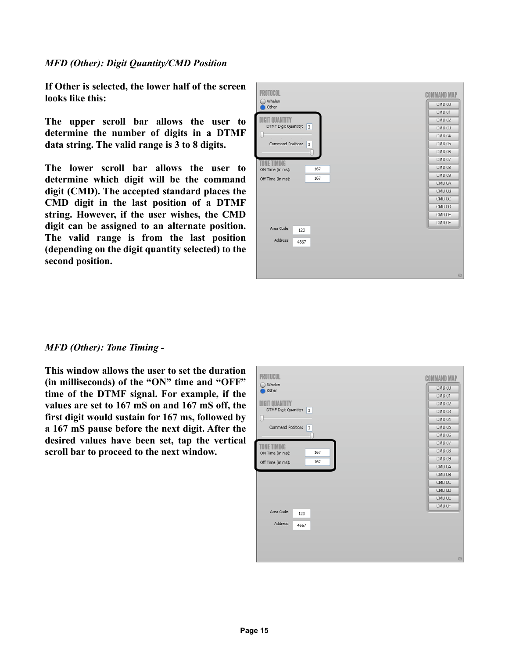#### *MFD (Other): Digit Quantity/CMD Position*

**If Other is selected, the lower half of the screen looks like this:**

**The upper scroll bar allows the user to determine the number of digits in a DTMF data string. The valid range is 3 to 8 digits.**

**The lower scroll bar allows the user to determine which digit will be the command digit (CMD). The accepted standard places the CMD digit in the last position of a DTMF string. However, if the user wishes, the CMD digit can be assigned to an alternate position. The valid range is from the last position (depending on the digit quantity selected) to the second position.**

| PROTOCOL                  | <b>COMMAND MAP</b> |
|---------------------------|--------------------|
| Whelen<br>Other           | CMD 00             |
|                           | CMD 01             |
| DIGIT QUANTITY            | CMD 02             |
| DTMF Digit Quantity:<br>3 | CMD <sub>03</sub>  |
|                           | CMD <sub>04</sub>  |
| Command Position:<br>3    | CMD 05             |
|                           | CMD 06             |
| TONE TIMING               | CMD <sub>0</sub> / |
| 167<br>ON Time (in ms):   | CMD 08             |
| 167<br>Off Time (in ms):  | CMD 09             |
|                           | CMD UA             |
|                           | CMD 0B             |
|                           | CMD UC             |
|                           | CMD UD             |
|                           | CMD 0E             |
|                           | CMD UF             |
| Area Code:<br>123         |                    |
| Address:<br>4567          |                    |
|                           |                    |
|                           |                    |
|                           |                    |
|                           |                    |
|                           | 日                  |

#### *MFD (Other): Tone Timing -*

**This window allows the user to set the duration (in milliseconds) of the "ON" time and "OFF" time of the DTMF signal. For example, if the values are set to 167 mS on and 167 mS off, the first digit would sustain for 167 ms, followed by a 167 mS pause before the next digit. After the desired values have been set, tap the vertical scroll bar to proceed to the next window.**

| PROTOCOL                    | <b>COMMAND MAP</b> |
|-----------------------------|--------------------|
| Whelen<br>Other             | CMD 00             |
|                             | CMD 01             |
| <b>DIGIT QUANTITY</b>       | CMD 02             |
| DTMF Digit Quantity:<br>l 3 | CMD <sub>03</sub>  |
| Li                          | CMD <sub>04</sub>  |
| Command Position:<br>3      | CMD 05             |
|                             | CMD 06             |
| TONE TIMING                 | CMD 07             |
| 167<br>ON Time (in ms):     | CMD 08             |
| 167<br>Off Time (in ms):    | CMD 09             |
|                             | CMD 0A             |
|                             | CMD 0B             |
|                             | CMD UC             |
|                             | CMD 0D             |
|                             | CMD 0E             |
|                             | CMD UF             |
| Area Code:<br>123           |                    |
| Address:<br>4567            |                    |
|                             |                    |
|                             |                    |
|                             |                    |
|                             |                    |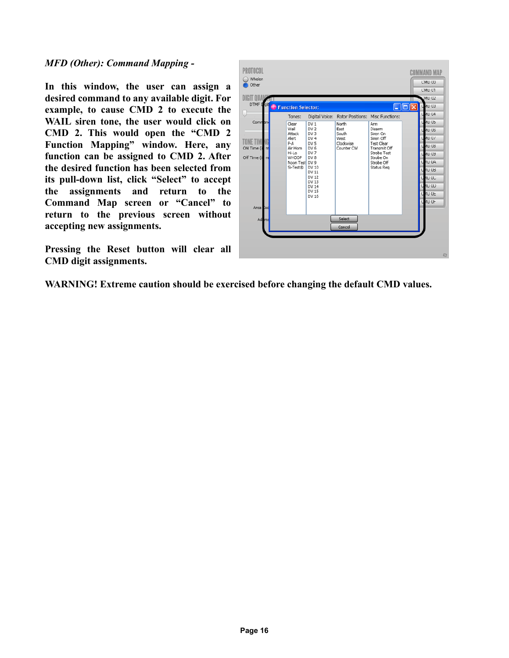*MFD (Other): Command Mapping -*

**In this window, the user can assign a desired command to any available digit. For example, to cause CMD 2 to execute the WAIL siren tone, the user would click on CMD 2. This would open the "CMD 2 Function Mapping" window. Here, any function can be assigned to CMD 2. After the desired function has been selected from its pull-down list, click "Select" to accept the assignments and return to the Command Map screen or "Cancel" to return to the previous screen without accepting new assignments.**

**Pressing the Reset button will clear all CMD digit assignments.**



**WARNING! Extreme caution should be exercised before changing the default CMD values.**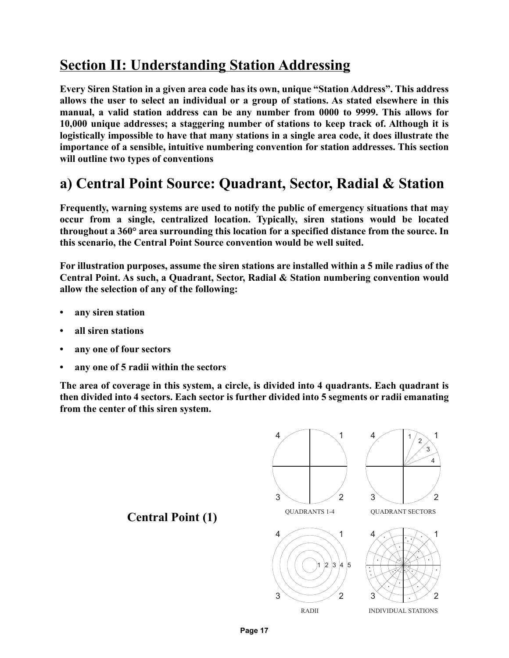## **Section II: Understanding Station Addressing**

**Every Siren Station in a given area code has its own, unique "Station Address". This address allows the user to select an individual or a group of stations. As stated elsewhere in this manual, a valid station address can be any number from 0000 to 9999. This allows for 10,000 unique addresses; a staggering number of stations to keep track of. Although it is logistically impossible to have that many stations in a single area code, it does illustrate the importance of a sensible, intuitive numbering convention for station addresses. This section will outline two types of conventions**

### **a) Central Point Source: Quadrant, Sector, Radial & Station**

**Frequently, warning systems are used to notify the public of emergency situations that may occur from a single, centralized location. Typically, siren stations would be located throughout a 360° area surrounding this location for a specified distance from the source. In this scenario, the Central Point Source convention would be well suited.**

**For illustration purposes, assume the siren stations are installed within a 5 mile radius of the Central Point. As such, a Quadrant, Sector, Radial & Station numbering convention would allow the selection of any of the following:**

- **any siren station**
- **all siren stations**
- **any one of four sectors**
- **any one of 5 radii within the sectors**

**The area of coverage in this system, a circle, is divided into 4 quadrants. Each quadrant is then divided into 4 sectors. Each sector is further divided into 5 segments or radii emanating from the center of this siren system.** 

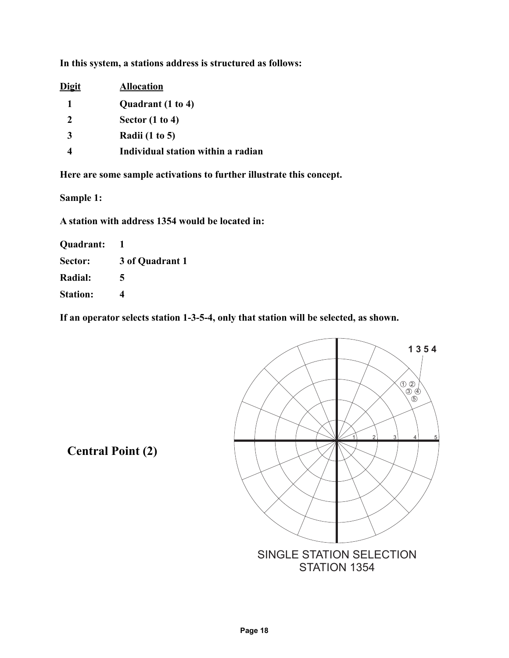**In this system, a stations address is structured as follows:**

| <b>Allocation</b>                  |  |  |
|------------------------------------|--|--|
|                                    |  |  |
|                                    |  |  |
|                                    |  |  |
| Individual station within a radian |  |  |
|                                    |  |  |

**Here are some sample activations to further illustrate this concept.**

**Sample 1:**

**A station with address 1354 would be located in:**

**Quadrant: 1**

**Sector: 3 of Quadrant 1**

**Radial: 5**

**Station: 4**

**If an operator selects station 1-3-5-4, only that station will be selected, as shown.**



**Central Point (2)**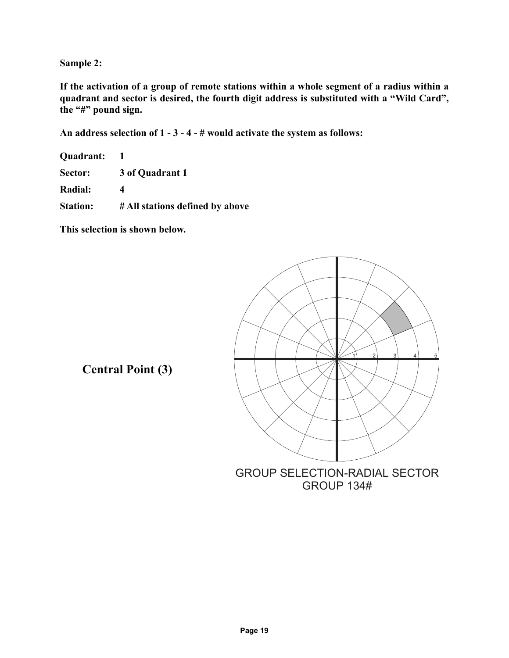**Sample 2:**

**If the activation of a group of remote stations within a whole segment of a radius within a quadrant and sector is desired, the fourth digit address is substituted with a "Wild Card", the "#" pound sign.**

**An address selection of 1 - 3 - 4 - # would activate the system as follows:**

**Quadrant: 1 Sector: 3 of Quadrant 1 Radial: 4** 

**Station: # All stations defined by above**

**This selection is shown below.**



**Central Point (3)**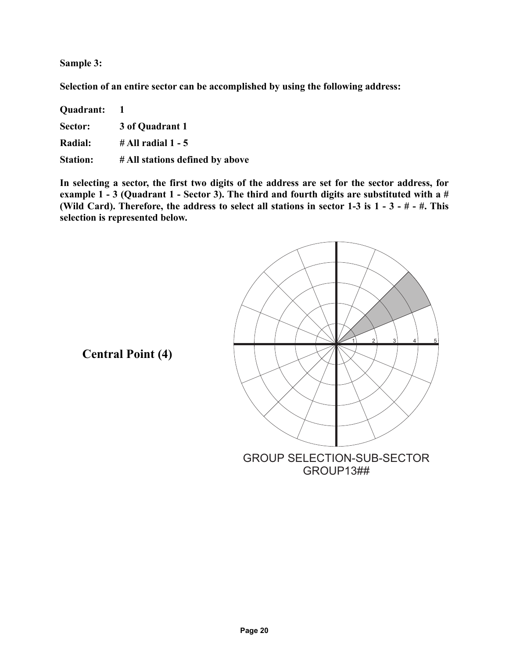**Sample 3:**

**Selection of an entire sector can be accomplished by using the following address:**

| Quadrant:       |                                 |
|-----------------|---------------------------------|
| Sector:         | 3 of Quadrant 1                 |
| <b>Radial:</b>  | $\#$ All radial 1 - 5           |
| <b>Station:</b> | # All stations defined by above |

**In selecting a sector, the first two digits of the address are set for the sector address, for example 1 - 3 (Quadrant 1 - Sector 3). The third and fourth digits are substituted with a # (Wild Card). Therefore, the address to select all stations in sector 1-3 is 1 - 3 - # - #. This selection is represented below.**



**Central Point (4)**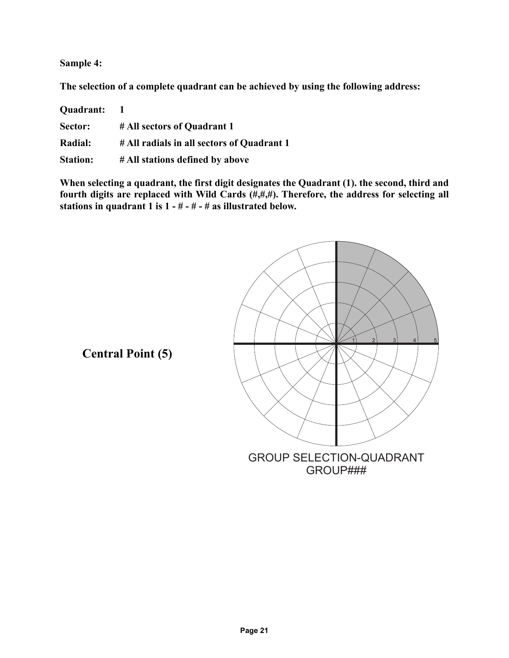**Sample 4:**

**The selection of a complete quadrant can be achieved by using the following address:**

| Quadrant:       | $\blacksquare$                             |
|-----------------|--------------------------------------------|
| Sector:         | # All sectors of Quadrant 1                |
| <b>Radial:</b>  | # All radials in all sectors of Quadrant 1 |
| <b>Station:</b> | # All stations defined by above            |

**When selecting a quadrant, the first digit designates the Quadrant (1). the second, third and fourth digits are replaced with Wild Cards (#,#,#). Therefore, the address for selecting all stations in quadrant 1 is 1 - # - # - # as illustrated below.**



**Central Point (5)**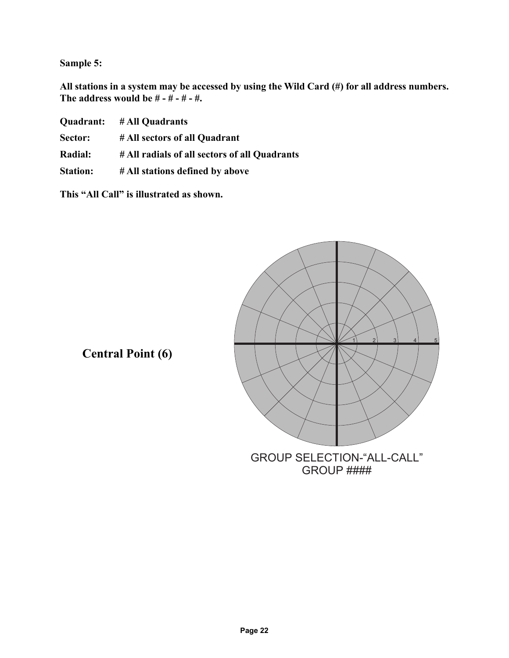**Sample 5:**

**All stations in a system may be accessed by using the Wild Card (#) for all address numbers. The address would be # - # - # - #.**

|                 | Quadrant: # All Quadrants                     |  |
|-----------------|-----------------------------------------------|--|
| <b>Sector:</b>  | # All sectors of all Quadrant                 |  |
| <b>Radial:</b>  | # All radials of all sectors of all Quadrants |  |
| <b>Station:</b> | # All stations defined by above               |  |

**This "All Call" is illustrated as shown.**



**Central Point (6)**